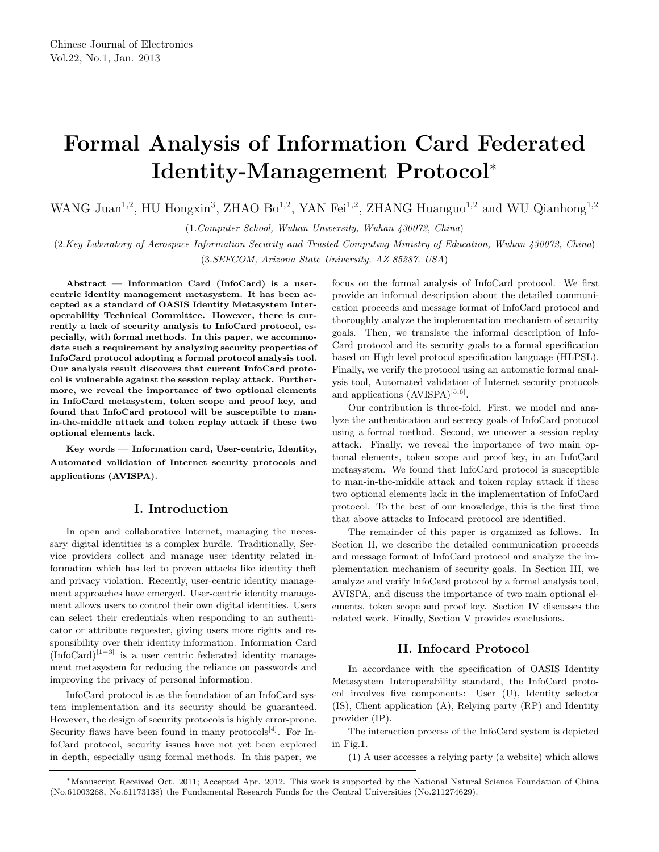# **Formal Analysis of Information Card Federated Identity-Management Protocol**<sup>∗</sup>

WANG Juan<sup>1,2</sup>, HU Hongxin<sup>3</sup>, ZHAO Bo<sup>1,2</sup>, YAN Fei<sup>1,2</sup>, ZHANG Huanguo<sup>1,2</sup> and WU Qianhong<sup>1,2</sup>

(1.*Computer School, Wuhan University, Wuhan 430072, China*)

(2.*Key Laboratory of Aerospace Information Security and Trusted Computing Ministry of Education, Wuhan 430072, China*) (3.*SEFCOM, Arizona State University, AZ 85287, USA*)

**Abstract — Information Card (InfoCard) is a usercentric identity management metasystem. It has been accepted as a standard of OASIS Identity Metasystem Interoperability Technical Committee. However, there is currently a lack of security analysis to InfoCard protocol, especially, with formal methods. In this paper, we accommodate such a requirement by analyzing security properties of InfoCard protocol adopting a formal protocol analysis tool. Our analysis result discovers that current InfoCard protocol is vulnerable against the session replay attack. Furthermore, we reveal the importance of two optional elements in InfoCard metasystem, token scope and proof key, and found that InfoCard protocol will be susceptible to manin-the-middle attack and token replay attack if these two optional elements lack.**

**Key words — Information card, User-centric, Identity, Automated validation of Internet security protocols and applications (AVISPA).**

## **I. Introduction**

In open and collaborative Internet, managing the necessary digital identities is a complex hurdle. Traditionally, Service providers collect and manage user identity related information which has led to proven attacks like identity theft and privacy violation. Recently, user-centric identity management approaches have emerged. User-centric identity management allows users to control their own digital identities. Users can select their credentials when responding to an authenticator or attribute requester, giving users more rights and responsibility over their identity information. Information Card  $(InfoCard)^{[1-3]}$  is a user centric federated identity management metasystem for reducing the reliance on passwords and improving the privacy of personal information.

InfoCard protocol is as the foundation of an InfoCard system implementation and its security should be guaranteed. However, the design of security protocols is highly error-prone. Security flaws have been found in many protocols<sup>[4]</sup>. For InfoCard protocol, security issues have not yet been explored in depth, especially using formal methods. In this paper, we focus on the formal analysis of InfoCard protocol. We first provide an informal description about the detailed communication proceeds and message format of InfoCard protocol and thoroughly analyze the implementation mechanism of security goals. Then, we translate the informal description of Info-Card protocol and its security goals to a formal specification based on High level protocol specification language (HLPSL). Finally, we verify the protocol using an automatic formal analysis tool, Automated validation of Internet security protocols and applications  $(AVISPA)^{[5,6]}$ .

Our contribution is three-fold. First, we model and analyze the authentication and secrecy goals of InfoCard protocol using a formal method. Second, we uncover a session replay attack. Finally, we reveal the importance of two main optional elements, token scope and proof key, in an InfoCard metasystem. We found that InfoCard protocol is susceptible to man-in-the-middle attack and token replay attack if these two optional elements lack in the implementation of InfoCard protocol. To the best of our knowledge, this is the first time that above attacks to Infocard protocol are identified.

The remainder of this paper is organized as follows. In Section II, we describe the detailed communication proceeds and message format of InfoCard protocol and analyze the implementation mechanism of security goals. In Section III, we analyze and verify InfoCard protocol by a formal analysis tool, AVISPA, and discuss the importance of two main optional elements, token scope and proof key. Section IV discusses the related work. Finally, Section V provides conclusions.

# **II. Infocard Protocol**

In accordance with the specification of OASIS Identity Metasystem Interoperability standard, the InfoCard protocol involves five components: User (U), Identity selector (IS), Client application (A), Relying party (RP) and Identity provider (IP).

The interaction process of the InfoCard system is depicted in Fig.1.

(1) A user accesses a relying party (a website) which allows

<sup>∗</sup>Manuscript Received Oct. 2011; Accepted Apr. 2012. This work is supported by the National Natural Science Foundation of China (No.61003268, No.61173138) the Fundamental Research Funds for the Central Universities (No.211274629).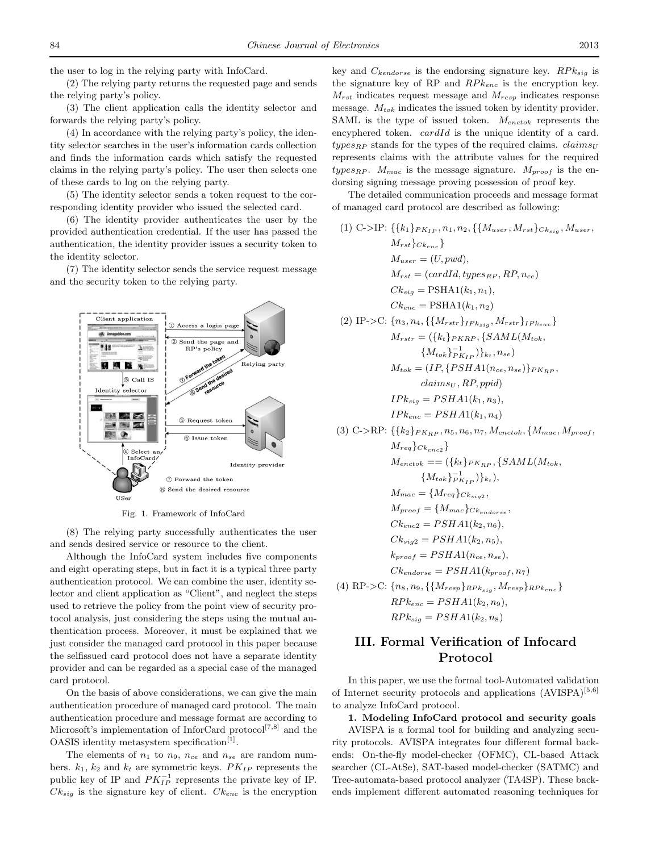the user to log in the relying party with InfoCard.

(2) The relying party returns the requested page and sends the relying party's policy.

(3) The client application calls the identity selector and forwards the relying party's policy.

(4) In accordance with the relying party's policy, the identity selector searches in the user's information cards collection and finds the information cards which satisfy the requested claims in the relying party's policy. The user then selects one of these cards to log on the relying party.

(5) The identity selector sends a token request to the corresponding identity provider who issued the selected card.

(6) The identity provider authenticates the user by the provided authentication credential. If the user has passed the authentication, the identity provider issues a security token to the identity selector.

(7) The identity selector sends the service request message and the security token to the relying party.



Fig. 1. Framework of InfoCard

(8) The relying party successfully authenticates the user and sends desired service or resource to the client.

Although the InfoCard system includes five components and eight operating steps, but in fact it is a typical three party authentication protocol. We can combine the user, identity selector and client application as "Client", and neglect the steps used to retrieve the policy from the point view of security protocol analysis, just considering the steps using the mutual authentication process. Moreover, it must be explained that we just consider the managed card protocol in this paper because the selfissued card protocol does not have a separate identity provider and can be regarded as a special case of the managed card protocol.

On the basis of above considerations, we can give the main authentication procedure of managed card protocol. The main authentication procedure and message format are according to Microsoft's implementation of InforCard protocol[7*,*8] and the OASIS identity metasystem specification<sup>[1]</sup>.

The elements of  $n_1$  to  $n_9$ ,  $n_{ce}$  and  $n_{se}$  are random numbers.  $k_1$ ,  $k_2$  and  $k_t$  are symmetric keys.  $PK_{IP}$  represents the public key of IP and  $PK_{IP}^{-1}$  represents the private key of IP.  $Ck_{sig}$  is the signature key of client.  $Ck_{enc}$  is the encryption

key and *Ckendorse* is the endorsing signature key. *RP ksig* is the signature key of RP and  $RPk_{enc}$  is the encryption key. *Mrst* indicates request message and *Mresp* indicates response message. *Mtok* indicates the issued token by identity provider. SAML is the type of issued token. *Menctok* represents the encyphered token. *cardId* is the unique identity of a card.  $types_{RP}$  stands for the types of the required claims. *claims*<sub>*U*</sub> represents claims with the attribute values for the required *types<sub>RP</sub>*.  $M_{mac}$  is the message signature.  $M_{proof}$  is the endorsing signing message proving possession of proof key.

The detailed communication proceeds and message format of managed card protocol are described as following:

(1) C-*>*IP: {{*k*1}*PKIP , n*1*, n*2*,* {{*Muser, Mrst*}*Cksig , Muser, Mrst*}*Ckenc* } *Muser* = (*U, pwd*)*, Mrst* = (*cardId, typesRP , RP, nce*) *Cksig* = PSHA1(*k*1*, n*1)*, Ckenc* = PSHA1(*k*1*, n*2) (2) IP-*>*C: {*n*3*, n*4*,* {{*Mrstr*}*IPksig , Mrstr*}*IPkenc* } *Mrstr* = ({*kt*}*PKRP ,* {*SAML*(*Mtok,* {*Mtok*}<sup>−</sup><sup>1</sup> *PKIP* )}*<sup>k</sup><sup>t</sup> , nse*) *Mtok* = (*IP,* {*PSHA*1(*nce, nse*)}*PKRP , claims<sup>U</sup> , RP, ppid*) *IPksig* = *PSHA*1(*k*1*, n*3)*, IPkenc* = *PSHA*1(*k*1*, n*4) (3) C-*>*RP: {{*k*2}*PKRP , n*5*, n*6*, n*7*, Menctok,* {*Mmac, Mproof , Mreq*}*Ckenc*<sup>2</sup> } *Menctok* == ({*kt*}*PKRP ,* {*SAML*(*Mtok,* {*Mtok*}<sup>−</sup><sup>1</sup> *PKIP* )}*<sup>k</sup><sup>t</sup>* )*, Mmac* = {*Mreq*}*Cksig*<sup>2</sup> *, Mproof* = {*Mmac*}*Ckendorse , Ckenc*<sup>2</sup> = *PSHA*1(*k*2*, n*6)*, Cksig*<sup>2</sup> = *PSHA*1(*k*2*, n*5)*, kproof* = *PSHA*1(*nce, nse*)*, Ckendorse* = *PSHA*1(*kproof, n*7) (4) RP-*>*C: {*n*8*, n*9*,* {{*Mresp*}*RP ksig , Mresp*}*RP kenc* } *RP kenc* = *PSHA*1(*k*2*, n*9)*,*

$$
RPk_{sig} = PSHA1(k_2, n_8)
$$

# **III. Formal Verification of Infocard Protocol**

In this paper, we use the formal tool-Automated validation of Internet security protocols and applications (AVISPA)[5*,*6] to analyze InfoCard protocol.

**1. Modeling InfoCard protocol and security goals**

AVISPA is a formal tool for building and analyzing security protocols. AVISPA integrates four different formal backends: On-the-fly model-checker (OFMC), CL-based Attack searcher (CL-AtSe), SAT-based model-checker (SATMC) and Tree-automata-based protocol analyzer (TA4SP). These backends implement different automated reasoning techniques for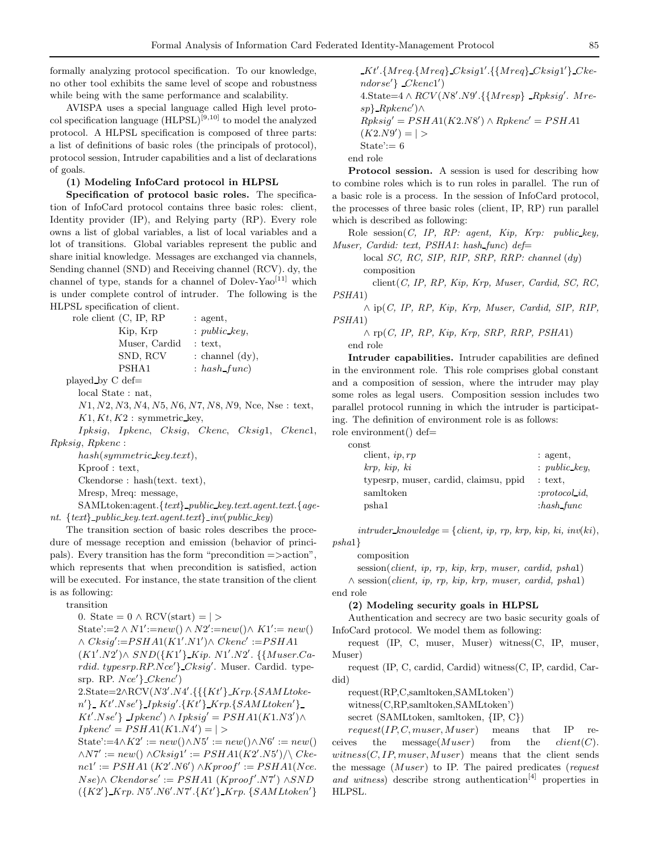formally analyzing protocol specification. To our knowledge, no other tool exhibits the same level of scope and robustness while being with the same performance and scalability.

AVISPA uses a special language called High level protocol specification language (HLPSL)[9*,*10] to model the analyzed protocol. A HLPSL specification is composed of three parts: a list of definitions of basic roles (the principals of protocol), protocol session, Intruder capabilities and a list of declarations of goals.

### **(1) Modeling InfoCard protocol in HLPSL**

**Specification of protocol basic roles.** The specification of InfoCard protocol contains three basic roles: client, Identity provider (IP), and Relying party (RP). Every role owns a list of global variables, a list of local variables and a lot of transitions. Global variables represent the public and share initial knowledge. Messages are exchanged via channels, Sending channel (SND) and Receiving channel (RCV). dy, the channel of type, stands for a channel of Dolev-Yao<sup>[11]</sup> which is under complete control of intruder. The following is the HLPSL specification of client.

| role client (C, IP, RP | : agent,           |
|------------------------|--------------------|
| Kip, Krp               | : public key,      |
| Muser, Cardid          | $:$ text,          |
| SND, RCV               | : channel $(dy)$ , |
| PSHA <sub>1</sub>      | $: hash\_func)$    |
|                        |                    |

played by C def=

local State : nat,

*N*1*, N*2*, N*3*, N*4*, N*5*, N*6*, N*7*, N*8*, N*9, Nce, Nse : text,  $K1, Kt, K2$ : symmetric\_key,

*Ipksig*, *Ipkenc*, *Cksig*, *Ckenc*, *Cksig*1, *Ckenc*1, *Rpksig*, *Rpkenc* :

*hash*(*symmetric key.text*),

Kproof : text,

Ckendorse : hash(text. text),

Mresp, Mreq: message,

SAMLtoken:agent.{*text*} *public key.text.agent.text.*{*agent*. {*text*} *public key.text.agent.text*} *inv*(*public key*)

The transition section of basic roles describes the procedure of message reception and emission (behavior of principals). Every transition has the form "precondition =*>*action", which represents that when precondition is satisfied, action will be executed. For instance, the state transition of the client is as following:

transition

0. State =  $0 \wedge \text{RCV}(\text{start}) = | >$  $State:=2 \wedge N1':=new() \wedge N2':=new() \wedge K1':=new()$ ∧ *Cksig* :=*PSHA*1(*K*1 *.N*1 )∧ *Ckenc* :=*PSHA*1 (*K*1 *.N*2 )∧ *SND*({*K*1 } *Kip. N*1 *.N*2 *.* {{*Muser.Cardid. typesrp.RP.Nce* } *Cksig* . Muser. Cardid. typesrp. RP. *Nce* } *Ckenc* ) 2.State=2∧RCV(*N*3 *.N*4 *.*{{{*Kt* } *Krp.*{*SAMLtoken* } *Kt .Nse* } *Ipksig .*{*Kt* } *Krp.*{*SAMLtoken* }  $Kt'.Nse'$ }  $\exists pkenc') \land \exists pksig' = PSHA1(K1.N3') \land$  $Ipkenc' = PSHA1(K1.N4') = | >$  $State:=4\wedge K2' := new() \wedge N5' := new() \wedge N6' := new()$  $\wedge$ *N*7' := *new*()  $\wedge$ *Cksig*1' := *PSHA*1(*K*2'.*N*5')/ $\wedge$  *Cke* $nc1' := PSHA1 (K2'.N6') \land Kproof := PSHA1(Nce.$  $Nse) \land$  *Ckendorse'* :=  $PSHA1$  (*Kproof'.N*7') ∧*SND* 

({*K*2 } *Krp. N*5 *.N*6 *.N*7 *.*{*Kt* } *Krp.* {*SAMLtoken* }

*Kt* .{*Mreq.*{*Mreq*} *Cksig*1 *.*{{*Mreq*} *Cksig*1 } *Ckendorse* } *Ckenc*1 ) 4.State=4 ∧ *RCV* (*N*8 *.N*9 *.*{{*Mresp*} *Rpksig* . *Mresp*} *Rpkenc* )∧  $Rpksig' = PSHA1(K2.N8') \wedge Rpkenc' = PSHA1$  $(K2.N9') = | >$ State':=  $6$ end role

**Protocol session.** A session is used for describing how to combine roles which is to run roles in parallel. The run of a basic role is a process. In the session of InfoCard protocol, the processes of three basic roles (client, IP, RP) run parallel which is described as following:

Role session(*C, IP, RP: agent, Kip, Krp: public key, Muser, Cardid: text, PSHA1*: *hash func*) *def*=

local *SC, RC, SIP, RIP, SRP, RRP: channel* (*dy*) composition

client(*C, IP, RP, Kip, Krp, Muser, Cardid, SC, RC, PSHA*1)

∧ ip(*C, IP, RP, Kip, Krp, Muser, Cardid, SIP, RIP, PSHA*1)

∧ rp(*C, IP, RP, Kip, Krp, SRP, RRP, PSHA*1) end role

**Intruder capabilities.** Intruder capabilities are defined in the environment role. This role comprises global constant and a composition of session, where the intruder may play some roles as legal users. Composition session includes two parallel protocol running in which the intruder is participating. The definition of environment role is as follows:

role environment() def= const

| .                                     |                       |
|---------------------------------------|-----------------------|
| client, $ip, rp$                      | : agent.              |
| krp, kip, ki                          | $: public \; key.$    |
| typesrp, muser, cardid, claimsu, ppid | $:$ text.             |
| samltoken                             | : <i>protocol id.</i> |
| pshal                                 | $: hash$ func         |
|                                       |                       |

 $intruder_k, knowledge = \{client, ip, rp, krp, kip, ki, inv(ki),\}$ *psha*1}

composition

session(*client, ip, rp, kip, krp, muser, cardid, psha*1)

∧ session(*client, ip, rp, kip, krp, muser, cardid, psha*1) end role

#### **(2) Modeling security goals in HLPSL**

Authentication and secrecy are two basic security goals of InfoCard protocol. We model them as following:

request (IP, C, muser, Muser) witness(C, IP, muser, Muser)

request (IP, C, cardid, Cardid) witness(C, IP, cardid, Cardid)

request(RP,C,samltoken,SAMLtoken')

witness(C,RP,samltoken,SAMLtoken')

secret (SAMLtoken, samltoken, {IP, C})

*request*(*IP, C, muser,Muser*) means that IP receives the message(*Muser*) from the *client*(*C*).  $witness(C, IP, muse, Museum)$  means that the client sends the message (*Muser*) to IP. The paired predicates (*request and witness*) describe strong authentication<sup>[4]</sup> properties in HLPSL.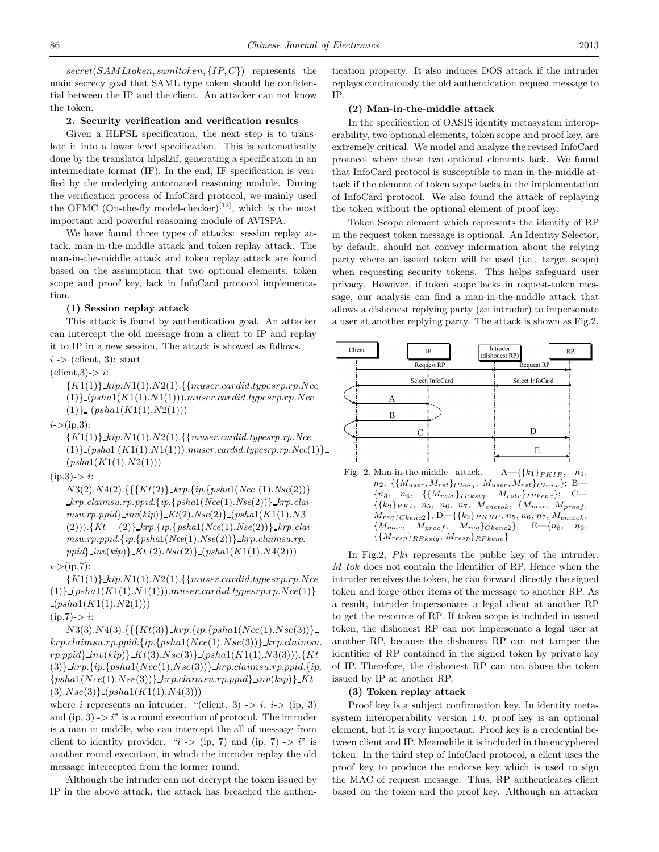*secret*(*SAMLtoken, samltoken,* {*IP, C*}) represents the main secrecy goal that SAML type token should be confidential between the IP and the client. An attacker can not know the token.

#### **2. Security verification and verification results**

Given a HLPSL specification, the next step is to translate it into a lower level specification. This is automatically done by the translator hlpsl2if, generating a specification in an intermediate format (IF). In the end, IF specification is verified by the underlying automated reasoning module. During the verification process of InfoCard protocol, we mainly used the OFMC (On-the-fly model-checker)<sup>[12]</sup>, which is the most important and powerful reasoning module of AVISPA.

We have found three types of attacks: session replay attack, man-in-the-middle attack and token replay attack. The man-in-the-middle attack and token replay attack are found based on the assumption that two optional elements, token scope and proof key, lack in InfoCard protocol implementation.

#### **(1) Session replay attack**

This attack is found by authentication goal. An attacker can intercept the old message from a client to IP and replay it to IP in a new session. The attack is showed as follows.

*i* -*>* (client, 3): start

 $client,3$ ->  $i$ :

{*K*1(1)} *kip.N*1(1)*.N*2(1)*.*{{*muser.cardid.typesrp.rp.Nce* (1)} (*psha*1(*K*1(1)*.N*1(1)))*.muser.cardid.typesrp.rp.Nce* (1)} (*psha*1(*K*1(1)*.N*2(1)))

*i*-*>*(ip,3):

{*K*1(1)} *kip.N*1(1)*.N*2(1)*.*{{*muser.cardid.typesrp.rp.Nce* (1)} (*psha*1 (*K*1(1)*.N*1(1))).*muser.cardid.typesrp.rp.Nce*(1)} (*psha*1(*K*1(1)*.N*2(1)))

 $(ip,3)$ ->  $i$ :

*N*3(2)*.N*4(2)*.*{{{*Kt*(2)} *krp*.{*ip*.{*psha*1(*Nce* (1).*Nse*(2))} *krp.claimsu.rp.ppid*.{*ip*.{*psha*1(*Nce*(1).*Nse*(2))} *krp.claimsu*.*rp.ppid*} *inv*(*kip*)} *Kt*(2).*Nse*(2)} (*psha*1(*K*1(1).*N*3 (2))).{*Kt* (2)} *krp*.{*ip*.{*psha*1(*Nce*(1).*Nse*(2))} *krp.clai* $msu.rp.ppid.\{ip.\{psha1(Nce(1).Nse(2))\}$ *krp.claimsu.rp. ppid*} *inv*(*kip*)} *Kt* (2).*Nse*(2)} (*psha*1(*K*1(1)*.N*4(2)))

## *i*-*>*(ip,7):

{*K*1(1)} *kip.N*1(1)*.N*2(1).{{*muser.cardid.typesrp*.*rp.Nce* (1)} (*psha*1(*K*1(1)*.N*1(1)))*.muser.cardid.typesrp.rp.Nce*(1)}  $-(psha1(K1(1).N2(1)))$ 

## (ip,7)-*> i*:

*N*3(3)*.N*4(3)*.*{{{*Kt*(3)} *krp.*{*ip.*{*psha*1(*Nce*(1)*.Nse*(3))} *krp.claimsu.rp.ppid.*{*ip.*{*psha*1(*Nce*(1)*.Nse*(3))} *krp.claimsu*. *rp.ppid*} *inv*(*kip*)} *Kt*(3)*.Nse*(3)} (*psha*1(*K*1(1)*.N*3(3)))*.*{*Kt* (3)} *krp.*{*ip.*{*psha*1(*Nce*(1)*.Nse*(3))} *krp.claimsu.rp.ppid.*{*ip.*  ${psha1(Nce(1).Nse(3))}$  *krp.claimsu.rp.ppid*}  $inv(kip)$  *Kt* (3)*.Nse*(3)} (*psha*1(*K*1(1)*.N*4(3)))

where *i* represents an intruder. "(client, 3)  $\Rightarrow$  *i*, *i* $\Rightarrow$  (ip, 3) and  $(ip, 3)$  - $\geq i$ <sup>"</sup> is a round execution of protocol. The intruder is a man in middle, who can intercept the all of message from client to identity provider. " $i > (ip, 7)$  and  $(ip, 7) \rightarrow i$ " is another round execution, in which the intruder replay the old message intercepted from the former round.

Although the intruder can not decrypt the token issued by IP in the above attack, the attack has breached the authentication property. It also induces DOS attack if the intruder replays continuously the old authentication request message to IP.

## **(2) Man-in-the-middle attack**

In the specification of OASIS identity metasystem interoperability, two optional elements, token scope and proof key, are extremely critical. We model and analyze the revised InfoCard protocol where these two optional elements lack. We found that InfoCard protocol is susceptible to man-in-the-middle attack if the element of token scope lacks in the implementation of InfoCard protocol. We also found the attack of replaying the token without the optional element of proof key.

Token Scope element which represents the identity of RP in the request token message is optional. An Identity Selector, by default, should not convey information about the relying party where an issued token will be used (i.e., target scope) when requesting security tokens. This helps safeguard user privacy. However, if token scope lacks in request-token message, our analysis can find a man-in-the-middle attack that allows a dishonest replying party (an intruder) to impersonate a user at another replying party. The attack is shown as Fig.2.



Fig. 2. Man-in-the-middle attack.  $A = {\{k_1\}} P_{KIP}, n_1$ , *n*2, *{{Muser, Mrst}Cksig* , *Muser, Mrst}Ckenc}*; B— *{n*3, *n*4, *{{Mrstr}IP ksig*, *Mrstr}IP kenc}*; C—  $\{\{k_2\}P_{Ki}, n_5, n_6, n_7, M_{enctok}, \{M_{mac}, M_{proof},$ *Mreq}Ckenc*2*}*; D—*{{k*2*}PKRP* , *n*5, *n*6, *n*7, *Menctok*, *{Mmac*, *Mproof* , *Mreq}Ckenc*2*}*; E—*{n*8, *n*9, *{{Mresp}RP ksig*, *Mresp}RP kenc}*

In Fig.2, *Pki* represents the public key of the intruder. *M tok* does not contain the identifier of RP. Hence when the intruder receives the token, he can forward directly the signed token and forge other items of the message to another RP. As a result, intruder impersonates a legal client at another RP to get the resource of RP. If token scope is included in issued token, the dishonest RP can not impersonate a legal user at another RP, because the dishonest RP can not tamper the identifier of RP contained in the signed token by private key of IP. Therefore, the dishonest RP can not abuse the token issued by IP at another RP.

## **(3) Token replay attack**

Proof key is a subject confirmation key. In identity metasystem interoperability version 1.0, proof key is an optional element, but it is very important. Proof key is a credential between client and IP. Meanwhile it is included in the encyphered token. In the third step of InfoCard protocol, a client uses the proof key to produce the endorse key which is used to sign the MAC of request message. Thus, RP authenticates client based on the token and the proof key. Although an attacker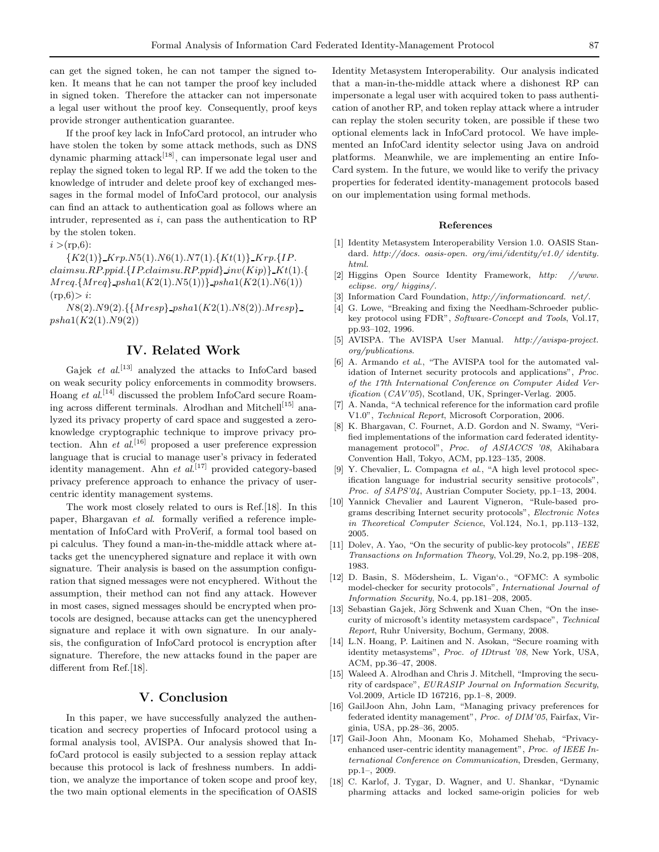can get the signed token, he can not tamper the signed token. It means that he can not tamper the proof key included in signed token. Therefore the attacker can not impersonate a legal user without the proof key. Consequently, proof keys provide stronger authentication guarantee.

If the proof key lack in InfoCard protocol, an intruder who have stolen the token by some attack methods, such as DNS dynamic pharming attack<sup>[18]</sup>, can impersonate legal user and replay the signed token to legal RP. If we add the token to the knowledge of intruder and delete proof key of exchanged messages in the formal model of InfoCard protocol, our analysis can find an attack to authentication goal as follows where an intruder, represented as *i*, can pass the authentication to RP by the stolen token.

 $i > (rp, 6)$ :

{*K*2(1)} *Krp.N*5(1)*.N*6(1)*.N*7(1)*.*{*Kt*(1)} *Krp.*{*IP*. *claimsu.RP.ppid.*{*IP.claimsu.RP.ppid*} *inv*(*Kip*)} *Kt*(1)*.*{ *Mreq.*{*Mreq*} *psha*1(*K*2(1)*.N*5(1))} *psha*1(*K*2(1)*.N*6(1))  $(rp,6) > i$ :

*N*8(2)*.N*9(2)*.*{{*Mresp*} *psha*1(*K*2(1)*.N*8(2))*.Mresp*} *psha*1(*K*2(1)*.N*9(2))

# **IV. Related Work**

Gajek *et al.*<sup>[13]</sup> analyzed the attacks to InfoCard based on weak security policy enforcements in commodity browsers. Hoang *et al*. [14] discussed the problem InfoCard secure Roaming across different terminals. Alrodhan and Mitchell<sup>[15]</sup> analyzed its privacy property of card space and suggested a zeroknowledge cryptographic technique to improve privacy protection. Ahn *et al.*<sup>[16]</sup> proposed a user preference expression language that is crucial to manage user's privacy in federated identity management. Ahn *et al*. [17] provided category-based privacy preference approach to enhance the privacy of usercentric identity management systems.

The work most closely related to ours is Ref.[18]. In this paper, Bhargavan *et al*. formally verified a reference implementation of InfoCard with ProVerif, a formal tool based on pi calculus. They found a man-in-the-middle attack where attacks get the unencyphered signature and replace it with own signature. Their analysis is based on the assumption configuration that signed messages were not encyphered. Without the assumption, their method can not find any attack. However in most cases, signed messages should be encrypted when protocols are designed, because attacks can get the unencyphered signature and replace it with own signature. In our analysis, the configuration of InfoCard protocol is encryption after signature. Therefore, the new attacks found in the paper are different from Ref.[18].

## **V. Conclusion**

In this paper, we have successfully analyzed the authentication and secrecy properties of Infocard protocol using a formal analysis tool, AVISPA. Our analysis showed that InfoCard protocol is easily subjected to a session replay attack because this protocol is lack of freshness numbers. In addition, we analyze the importance of token scope and proof key, the two main optional elements in the specification of OASIS

Identity Metasystem Interoperability. Our analysis indicated that a man-in-the-middle attack where a dishonest RP can impersonate a legal user with acquired token to pass authentication of another RP, and token replay attack where a intruder can replay the stolen security token, are possible if these two optional elements lack in InfoCard protocol. We have implemented an InfoCard identity selector using Java on android platforms. Meanwhile, we are implementing an entire Info-Card system. In the future, we would like to verify the privacy properties for federated identity-management protocols based on our implementation using formal methods.

#### **References**

- [1] Identity Metasystem Interoperability Version 1.0. OASIS Standard. *http://docs. oasis-open. org/imi/identity/v1.0/ identity. html.*
- [2] Higgins Open Source Identity Framework, *http: //www. eclipse. org/ higgins/.*
- [3] Information Card Foundation, *http://informationcard. net/.*
- [4] G. Lowe, "Breaking and fixing the Needham-Schroeder publickey protocol using FDR", *Software-Concept and Tools*, Vol.17, pp.93–102, 1996.
- [5] AVISPA. The AVISPA User Manual. *http://avispa-project. org/publications*.
- [6] A. Armando *et al*., "The AVISPA tool for the automated validation of Internet security protocols and applications", *Proc. of the 17th International Conference on Computer Aided Verification* (*CAV'05*), Scotland, UK, Springer-Verlag. 2005.
- [7] A. Nanda, "A technical reference for the information card profile V1.0", *Technical Report*, Microsoft Corporation, 2006.
- [8] K. Bhargavan, C. Fournet, A.D. Gordon and N. Swamy, "Verified implementations of the information card federated identitymanagement protocol", *Proc. of ASIACCS '08*, Akihabara Convention Hall, Tokyo, ACM, pp.123–135, 2008.
- [9] Y. Chevalier, L. Compagna *et al*., "A high level protocol specification language for industrial security sensitive protocols", *Proc. of SAPS'04*, Austrian Computer Society, pp.1–13, 2004.
- [10] Yannick Chevalier and Laurent Vigneron, "Rule-based programs describing Internet security protocols", *Electronic Notes in Theoretical Computer Science*, Vol.124, No.1, pp.113–132, 2005.
- [11] Dolev, A. Yao, "On the security of public-key protocols", *IEEE Transactions on Information Theory*, Vol.29, No.2, pp.198–208, 1983.
- [12] D. Basin, S. Mödersheim, L. Vigan'o., "OFMC: A symbolic model-checker for security protocols", *International Journal of Information Security*, No.4, pp.181–208, 2005.
- [13] Sebastian Gajek, Jörg Schwenk and Xuan Chen, "On the insecurity of microsoft's identity metasystem cardspace", *Technical Report*, Ruhr University, Bochum, Germany, 2008.
- [14] L.N. Hoang, P. Laitinen and N. Asokan, "Secure roaming with identity metasystems", *Proc. of IDtrust '08*, New York, USA, ACM, pp.36–47, 2008.
- [15] Waleed A. Alrodhan and Chris J. Mitchell, "Improving the security of cardspace", *EURASIP Journal on Information Security*, Vol.2009, Article ID 167216, pp.1–8, 2009.
- [16] GailJoon Ahn, John Lam, "Managing privacy preferences for federated identity management", *Proc. of DIM'05*, Fairfax, Virginia, USA, pp.28–36, 2005.
- [17] Gail-Joon Ahn, Moonam Ko, Mohamed Shehab, "Privacyenhanced user-centric identity management", *Proc. of IEEE International Conference on Communication*, Dresden, Germany, pp.1–, 2009.
- [18] C. Karlof, J. Tygar, D. Wagner, and U. Shankar, "Dynamic pharming attacks and locked same-origin policies for web